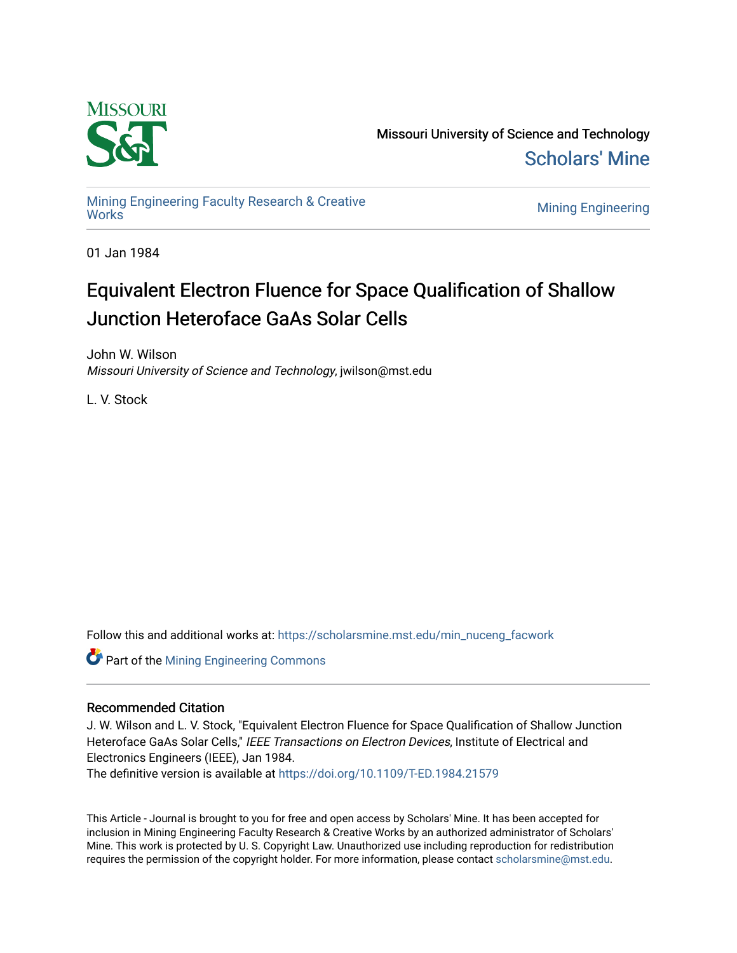

Missouri University of Science and Technology [Scholars' Mine](https://scholarsmine.mst.edu/) 

[Mining Engineering Faculty Research & Creative](https://scholarsmine.mst.edu/min_nuceng_facwork) 

**Mining Engineering** 

01 Jan 1984

# Equivalent Electron Fluence for Space Qualification of Shallow Junction Heteroface GaAs Solar Cells

John W. Wilson Missouri University of Science and Technology, jwilson@mst.edu

L. V. Stock

Follow this and additional works at: [https://scholarsmine.mst.edu/min\\_nuceng\\_facwork](https://scholarsmine.mst.edu/min_nuceng_facwork?utm_source=scholarsmine.mst.edu%2Fmin_nuceng_facwork%2F1200&utm_medium=PDF&utm_campaign=PDFCoverPages) 

**Part of the Mining Engineering Commons** 

## Recommended Citation

J. W. Wilson and L. V. Stock, "Equivalent Electron Fluence for Space Qualification of Shallow Junction Heteroface GaAs Solar Cells," IEEE Transactions on Electron Devices, Institute of Electrical and Electronics Engineers (IEEE), Jan 1984.

The definitive version is available at <https://doi.org/10.1109/T-ED.1984.21579>

This Article - Journal is brought to you for free and open access by Scholars' Mine. It has been accepted for inclusion in Mining Engineering Faculty Research & Creative Works by an authorized administrator of Scholars' Mine. This work is protected by U. S. Copyright Law. Unauthorized use including reproduction for redistribution requires the permission of the copyright holder. For more information, please contact [scholarsmine@mst.edu.](mailto:scholarsmine@mst.edu)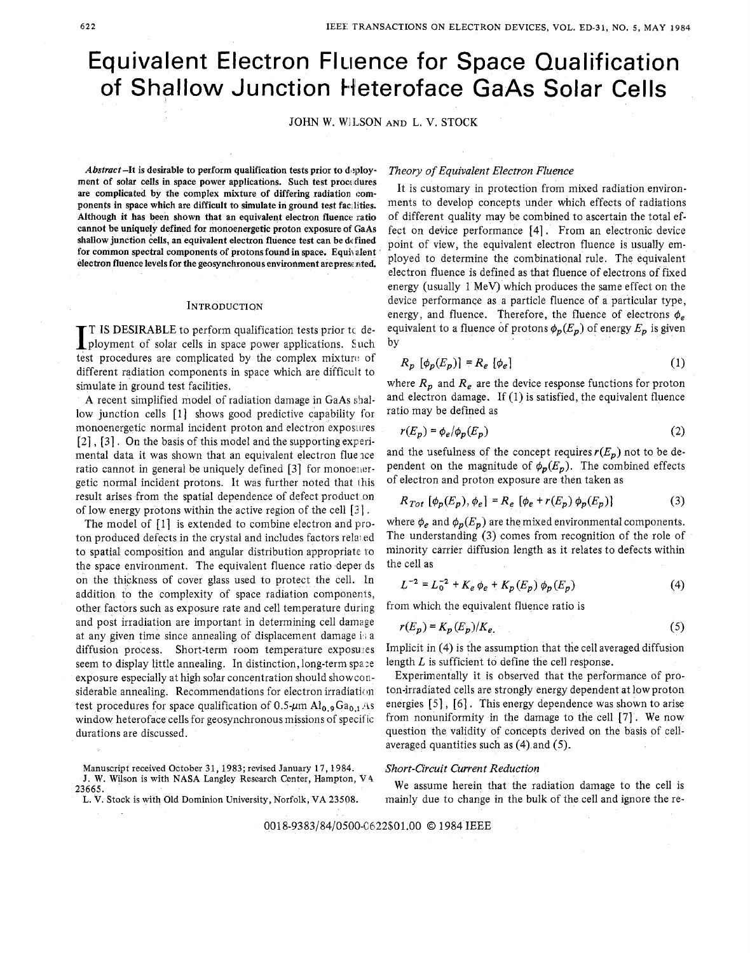# Equivalent Electron FIuence for Space Qualification of Shallow Junction tfeteroface GaAs Solar Cells

JOHN W. WILSON AND L. V. STOCK

Abstract-It is desirable to perform qualification tests prior to deployment of solar cells in space power applications. Such test procedures **are complicated by the complex mixture of differing radiation components in space which are difficult to simulate in ground test facilities.**  Although it has been shown that an equivalent electron fluence ratio cannot be uniquely defined for monoenergetic proton exposure of GaAs **shallow junction cells, an equivalent electron fluence test can be dcfined**  for common spectral components of protons found in space. Equivalent **electron fluence levels for the geosynchronous environment arepresc nted** 

#### **INTRODUCTION**

**1 IS DESIRABLE to perform qualification tests prior tc deployment of solar cells in space power applications. Such test procedures are complicated by the complex mixture of** test procedures are complicated by the complex mixture of different radiation components in space which are difficult to simulate in ground test facilities.

**A** recent simplified model of radiation damage in GaAs shallow junction cells [l] shows good predictive capability for monoenergetic normal incident proton and electron exposues *[2]* , [31 . On the basis of this model and the supporting experimental data it was shown that an equivalent electron flue ace ratio cannot in general be uniquely defined  $[3]$  for monoenergetic normal incident protons. It was further noted that this result arises from the spatial dependence of defect product on of low energy protons within the active region of the cell [3].

The model of [I] is extended to combine electron and proton produced defects in the crystal and includes factors related to spatial composition and angular distribution appropriate to the space environment. The equivalent fluence ratio deper ds on the thickness of cover glass used to protect the cell. In addition to the complexity of space radiation components, other factors such as exposure rate and cell temperature during and post irradiation are important in determining cell damage at any given time since annealing of displacement damage is a diffusion process. Short-term room temperature exposures seem to display little annealing. In distinction, long-term space exposure especially at high solar concentration should showconsiderable annealing. Recommendations for electron irradiation test procedures for space qualification of  $0.5 \mu m$  Al<sub>0.9</sub>Ga<sub>0.1</sub> As window heteroface cells for geosynchronous missions of specific durations are discussed.

**Manuscript received October 31, 1983; revised January 17,1984. J. W. Wilson is with NASA Langley Research Center, Hampton, VA. L. V. Stock is with Old Dominion University,** Norfolk, **VA 23508. 23665.** 

### *Theory of Equivalent Electron Fluence*

It is customary in protection from mixed radiation environments to develop concepts under which effects of radiations of different quality may be combined to ascertain the total effect on device performance [41. From an electronic device point of view, the equivalent electron fluence is usually employed to determine the combinational rule. The equivalent electron fluence is defined as that fluence of electrons of fixed energy (usually 1 MeV) which produces the same effect on the device performance as a particle fluence of a particular type, energy, and fluence. Therefore, the fluence of electrons  $\phi_e$ equivalent to a fluence of protons  $\phi_p(E_p)$  of energy  $E_p$  is given by

$$
R_p \left[ \phi_p(E_p) \right] = R_e \left[ \phi_e \right] \tag{1}
$$

where  $R_p$  and  $R_e$  are the device response functions for proton and electron damage. If (1) is satisfied, the equivalent fluence ratio may be defined as

$$
r(E_p) = \phi_e/\phi_p(E_p) \tag{2}
$$

and the usefulness of the concept requires  $r(E_p)$  not to be dependent on the magnitude of  $\phi_p(E_p)$ . The combined effects of electron and proton exposure are then taken as

$$
R_{Tot} [\phi_p(E_p), \phi_e] = R_e [\phi_e + r(E_p) \phi_p(E_p)] \tag{3}
$$

where  $\phi_e$  and  $\phi_p(E_p)$  are the mixed environmental components. The understanding (3) comes from recognition of the role of minority carrier diffusion length as it relates to defects within the cell as

$$
L^{-2} = L_0^{-2} + K_e \phi_e + K_p(E_p) \phi_p(E_p)
$$
 (4)

from which the equivalent fluence ratio is

$$
r(E_p) = K_p(E_p)/K_e. \tag{5}
$$

Implicit in **(4)** is the assumption that the cell averaged diffusion length *L* is sufficient to define the cell response.

Experimentally it is observed that the performance of proton-irradiated cells are strongly energy dependent at low proton energies  $[5]$ ,  $[6]$ . This energy dependence was shown to arise from nonuniformity in the damage to the cell **[7]** . We now question the validity of concepts derived on the basis of cellaveraged quantities such as **(4)** and (5).

#### *Short-circuit Current Reduction*

We assume herein that the radiation damage to the cell is mainly due to change in the bulk of the cell and ignore the re-

0018-9383/84/0500-0622\$01.00 © 1984 IEEE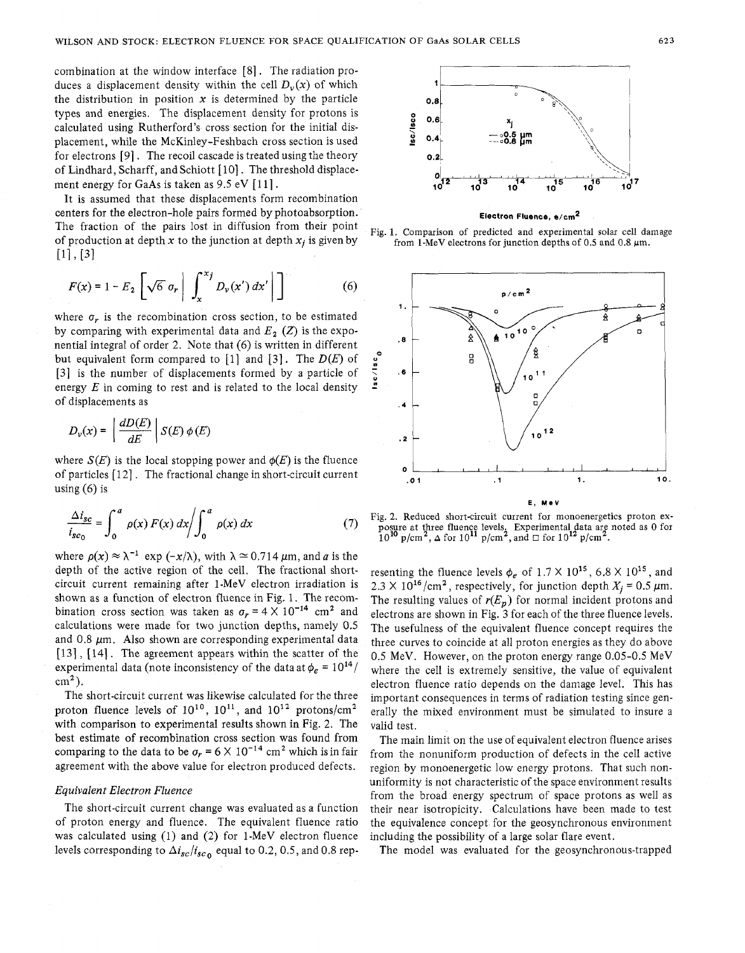combination at the window interface [8] . The radiation produces a displacement density within the cell  $D_{\nu}(x)$  of which the distribution in position  $x$  is determined by the particle types and energies. The displacement density for protons is calculated using Rutherford's cross section for the initial displacement, while the McKinley-Feshbach cross section is used for electrons [91 . The recoil cascade is treated using the theory of Lindhard, Scharff, and Schiott [10]. The threshold displacement energy for GaAs is taken as  $9.5 \text{ eV}$  [11].

It is assumed that these displacements form recombination centers for the electron-hole pairs formed by photoabsorption. The fraction of the pairs lost in diffusion from their point of production at depth x to the junction at depth  $x_i$  is given by  $[1]$ ,  $[3]$ 

$$
F(x) = 1 - E_2 \left[ \sqrt{6} \sigma_r \middle| \int_x^{x_j} D_\nu(x') dx' \middle| \right] \tag{6}
$$

where  $\sigma_r$  is the recombination cross section, to be estimated by comparing with experimental data and  $E_2$  (Z) is the exponential integral of order 2. Note that (6) is written in different but equivalerit form compared to [l] and [3]. The *D(E)* of [3] is the number of displacements formed by a particle of energy *E* in coming to rest and is related to the local density of displacements as

$$
D_{\nu}(x) = \left| \frac{dD(E)}{dE} \right| S(E) \phi(E)
$$

where  $S(E)$  is the local stopping power and  $\phi(E)$  is the fluence of particles [ 121 . The fractional change in short-circuit current using  $(6)$  is

$$
\frac{\Delta i_{sc}}{i_{sc_0}} = \int_0^a \rho(x) F(x) dx \bigg/ \int_0^a \rho(x) dx \tag{7}
$$

where  $\rho(x) \approx \lambda^{-1}$  exp  $(-x/\lambda)$ , with  $\lambda \approx 0.714 \mu$ m, and *a* is the depth of the active region of the cell. The fractional shortcircuit current remaining after 1-MeV electron irradiation is shown as a function of electron fluence in Fig. 1. The recombination cross section was taken as  $\sigma_r = 4 \times 10^{-14}$  cm<sup>2</sup> and calculations were made for two junction depths, namely 0.5 and  $0.8 \mu m$ . Also shown are corresponding experimental data [13], [14]. The agreement appears within the scatter of the experimental data (note inconsistency of the data at  $\phi_e = 10^{14}$ /  $cm<sup>2</sup>$ ).

The short-circuit current was likewise calculated for the three proton fluence levels of  $10^{10}$ ,  $10^{11}$ , and  $10^{12}$  protons/cm<sup>2</sup> with comparison to experimental results shown in Fig. *2.* The best estimate of recombination cross section was found from comparing to the data to be  $\sigma_r = 6 \times 10^{-14}$  cm<sup>2</sup> which is in fair agreement with the above value for electron produced defects.

#### *Equivalent Electron Fluence*

The short-circuit current change was evaluated as a function of proton energy and fluence. The equivalent fluence ratio was calculated using (1) and *(2)* for 1-MeV electron fluence levels corresponding to  $\Delta i_{sc}/i_{sc}$  equal to 0.2, 0.5, and 0.8 rep-



**Electron Fluence, e/cm\*** 

Fig. 1. Comparison of predicted and experimental solar cell damage from 1-MeV electrons for junction depths of **0.5** and 0.8 km.



Fig. 2. Reduced short-circuit current for monoenergetics proton exposure at three fluence levels. Experimental data are noted as 0 for 10<sup>10</sup> p/cm<sup>2</sup>.  $\Delta$  for 10<sup>11</sup> p/cm<sup>2</sup>, and *□* for 10<sup>12</sup> p/cm<sup>2</sup>.

resenting the fluence levels  $\phi_e$  of  $1.7 \times 10^{15}$ ,  $6.8 \times 10^{15}$ , and  $2.3 \times 10^{16}$ /cm<sup>2</sup>, respectively, for junction depth  $X_i = 0.5 \mu$ m. The resulting values of  $r(E_p)$  for normal incident protons and electrons are shown in Fig. 3 for each of the three fluence levels. The usefulness of the equivalent fluence concept requires the three curves to coincide at all proton energies as they do above 0.5 MeV. However, on the proton energy range 0.05-0.5 MeV where the cell is extremely sensitive, the value of equivalent electron fluence ratio depends on the damage level. This has important consequences in terms of radiation testing since generally the mixed environment must be simulated to insure a valid test.

The main limit on the use of equivalent electron fluence arises from the nonuniform production of defects in the cell active region by monoenergetic low energy protons. That such nonuniformity is not characteristic of the space environment results from the broad energy spectrum of space protons as well as their near isotropicity. Calculations have been made to test the equivalence concept for the geosynchronous environment including the possibility of a large solar flare event.

The model was evaluated for the geosynchronous-trapped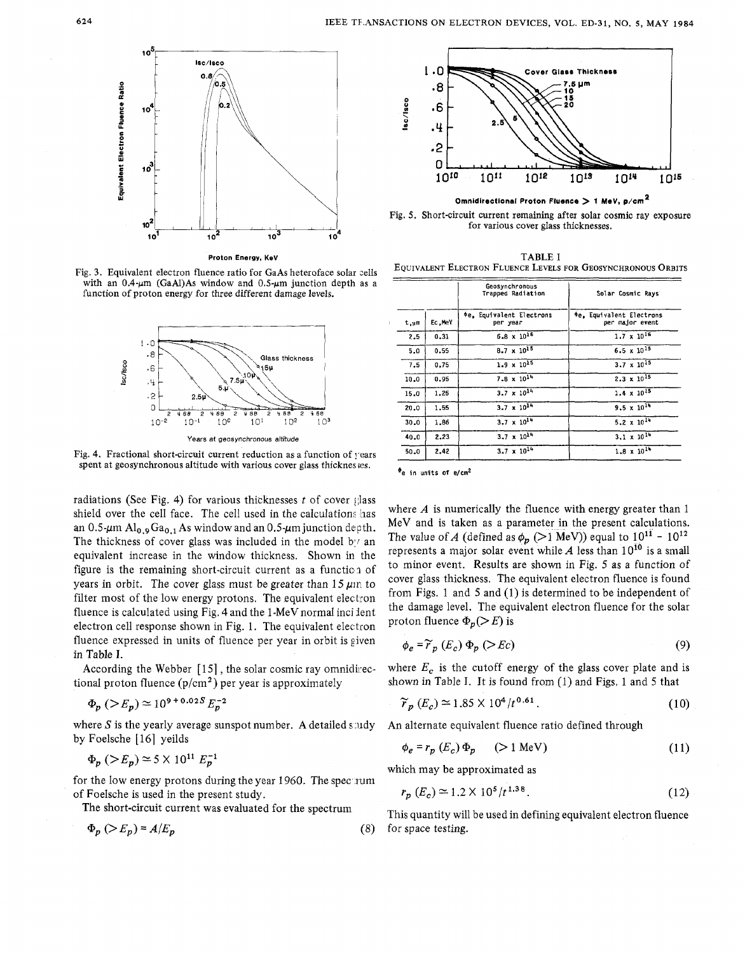

Fig. **3.** Equivalent electron fluence ratio for GaAs heteroface solar cells with an  $0.4-\mu$ m (GaAl)As window and  $0.5-\mu$ m junction depth as a function of proton energy for three different damage levels.



Fig. 4. Fractional short-circuit current reduction as a function of years spent at geosynchronous altitude with various cover glass thicknes es.

radiations (See Fig. 4) for various thicknesses  $t$  of cover glass shield over the cell face. The cell used in the calculations has an 0.5- $\mu$ m Al<sub>0.9</sub>Ga<sub>0.1</sub> As window and an 0.5- $\mu$ m junction depth. The thickness of cover glass was included in the model by an equivalent increase in the window thickness. Shown in the figure is the remaining short-circuit current as a function of years in orbit. The cover glass must be greater than  $15 \mu m$  to filter most of the low energy protons. The equivalent electron fluence is calculated using Fig. 4 and the 1 -MeV normal inci lent electron cell response shown in Fig. 1. The equivalent electron fluence expressed in units of fluence per year in orbit is given in Table I.

tional proton fluence  $(p/cm<sup>2</sup>)$  per year is approximately

$$
\Phi_n
$$
 ( $\geq E_n$ )  $\simeq$  10<sup>9+0.02S</sup>  $E_n^{-2}$ 

where *S* is the yearly average sunspot number. A detailed study An alternate equivalent fluence ratio defined through by Foelsche [16] yeilds

$$
\Phi_p
$$
 (>E<sub>p</sub>) ≈ 5 × 10<sup>11</sup> E<sub>p</sub><sup>-1</sup>

for the low energy protons during the year 1960. The spectrum of Foelsche is used in the present study.

$$
\Phi_p \left( > E_p \right) = A/E_p \tag{8} \quad \text{for space}
$$



Fig. *5.* Short-circuit current remaining after solar cosmic ray exposure for various cover glass thicknesses.

**Proton Energy, KeV** TABLE I EQUIVALENT ELECTRON FLUENCE LEVELS FOR GEOSYNCHRONOUS ORBITS

|      |        | Geosynchronous<br>Trapped Radiation  | Solar Cosmic Rays                                  |
|------|--------|--------------------------------------|----------------------------------------------------|
| t,um | Ec.MeV | ¢e, Equivalent Electrons<br>per year | <b>Oe, Equivalent Electrons</b><br>per major event |
| 2.5  | 0.31   | $6.8 \times 10^{16}$                 | $1.7 \times 10^{16}$                               |
| 5.0  | 0.55   | $8.7 \times 10^{15}$                 | $6.5 \times 10^{15}$                               |
| 7.5  | 0.75   | $1.9 \times 10^{15}$                 | $3.7 \times 10^{15}$                               |
| 10.0 | 0.95   | $7.8 \times 10^{14}$                 | 2.3 x $10^{15}$                                    |
| 15.0 | 1.25   | $3.7 \times 10^{14}$                 | $1.4 \times 10^{15}$                               |
| 20.0 | 1.55   | $3.7 \times 10^{14}$                 | 9.5 x $10^{14}$                                    |
| 30.0 | 1,86   | $3.7 \times 10^{14}$                 | 5.2 $\times$ 10 <sup>14</sup>                      |
| 40.0 | 2.23   | $3.7 \times 10^{14}$                 | $3.1 \times 10^{14}$                               |
| 50.0 | 2.42   | $3.7 \times 10^{14}$                 | $1.8 \times 10^{14}$                               |

**\*e in** units *of* e/cm2

where *A* is numerically the fluence with energy greater than 1 MeV and is taken as a parameter in the present calculations. The value of A (defined as  $\phi_p~(\geq)~\mathrm{MeV})$ ) equal to  $10^{11}$  -  $10^{12}$ represents a major solar event while A less than  $10^{10}$  is a small to minor event. Results are shown in Fig. *5* as a function of cover glass thickness. The equivalent electron fluence is found from Figs. 1 and 5 and (1) is determined to be independent of the damage level. The equivalent electron fluence for the solar proton fluence  $\Phi_p(>E)$  is

$$
\phi_e = \widetilde{r}_p(E_c) \Phi_p (\geq Ec) \tag{9}
$$

According the Webber  $[15]$ , the solar cosmic ray omnidirec- where  $E_c$  is the cutoff energy of the glass cover plate and is shown in Table I. It is found from (1) and Figs. 1 and 5 that

$$
\Phi_p \left( > E_p \right) \simeq 10^{9+0.02S} E_p^{-2} \tag{10}
$$

$$
\phi_e = r_p(E_c) \Phi_p \qquad (\ge 1 \text{ MeV}) \tag{11}
$$

which may be approximated as

$$
r_p(E_c) \approx 1.2 \times 10^5 / t^{1.38}.
$$
 (12)

The short-circuit current was evaluated for the spectrum This quantity will be used in defining equivalent electron fluence